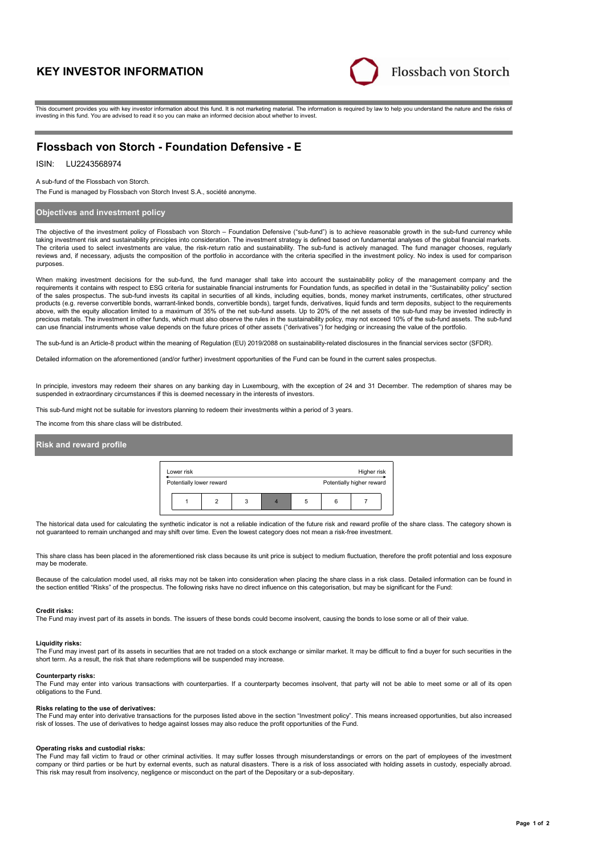# **KEY INVESTOR INFORMATION**



This document provides you with key investor information about this fund. It is not marketing material. The information is required by law to help you understand the nature and the risks of investing in this fund. You are advised to read it so you can make an informed decision about whether to invest.

# **Flossbach von Storch - Foundation Defensive - E**

## ISIN: LU2243568974

A sub-fund of the Flossbach von Storch.

The Fund is managed by Flossbach von Storch Invest S.A., société anonyme.

## **Objectives and investment policy**

The objective of the investment policy of Flossbach von Storch – Foundation Defensive ("sub-fund") is to achieve reasonable growth in the sub-fund currency while taking investment risk and sustainability principles into consideration. The investment strategy is defined based on fundamental analyses of the global financial markets. The criteria used to select investments are value, the risk-return ratio and sustainability. The sub-fund is actively managed. The fund manager chooses, regularly reviews and, if necessary, adjusts the composition of the portfolio in accordance with the criteria specified in the investment policy. No index is used for comparison purposes.

When making investment decisions for the sub-fund, the fund manager shall take into account the sustainability policy of the management company and the requirements it contains with respect to ESG criteria for sustainable financial instruments for Foundation funds, as specified in detail in the "Sustainability policy" section of the sales prospectus. The sub-fund invests its capital in securities of all kinds, including equities, bonds, money market instruments, certificates, other structured products (e.g. reverse convertible bonds, warrant-linked bonds, convertible bonds), target funds, derivatives, liquid funds and term deposits, subject to the requirements above, with the equity allocation limited to a maximum of 35% of the net sub-fund assets. Up to 20% of the net assets of the sub-fund may be invested indirectly in precious metals. The investment in other funds, which must also observe the rules in the sustainability policy, may not exceed 10% of the sub-fund assets. The sub-fund can use financial instruments whose value depends on the future prices of other assets ("derivatives") for hedging or increasing the value of the portfolio.

The sub-fund is an Article-8 product within the meaning of Regulation (EU) 2019/2088 on sustainability-related disclosures in the financial services sector (SFDR).

Detailed information on the aforementioned (and/or further) investment opportunities of the Fund can be found in the current sales prospectus.

In principle, investors may redeem their shares on any banking day in Luxembourg, with the exception of 24 and 31 December. The redemption of shares may be suspended in extraordinary circumstances if this is deemed necessary in the interests of investors.

This sub-fund might not be suitable for investors planning to redeem their investments within a period of 3 years.

The income from this share class will be distributed.

## **Risk and reward profile**

| Lower risk               |  | Higher risk |  |  |                           |
|--------------------------|--|-------------|--|--|---------------------------|
| Potentially lower reward |  |             |  |  | Potentially higher reward |
|                          |  | 3           |  |  |                           |

The historical data used for calculating the synthetic indicator is not a reliable indication of the future risk and reward profile of the share class. The category shown is not guaranteed to remain unchanged and may shift over time. Even the lowest category does not mean a risk-free investment.

This share class has been placed in the aforementioned risk class because its unit price is subject to medium fluctuation, therefore the profit potential and loss exposure may be moderate

Because of the calculation model used, all risks may not be taken into consideration when placing the share class in a risk class. Detailed information can be found in the section entitled "Risks" of the prospectus. The following risks have no direct influence on this categorisation, but may be significant for the Fund:

#### **Credit risks:**

The Fund may invest part of its assets in bonds. The issuers of these bonds could become insolvent, causing the bonds to lose some or all of their value.

#### **Liquidity risks:**

The Fund may invest part of its assets in securities that are not traded on a stock exchange or similar market. It may be difficult to find a buyer for such securities in the short term. As a result, the risk that share redemptions will be suspended may increase.

#### **Counterparty risks:**

The Fund may enter into various transactions with counterparties. If a counterparty becomes insolvent, that party will not be able to meet some or all of its open obligations to the Fund.

#### **Risks relating to the use of derivatives:**

The Fund may enter into derivative transactions for the purposes listed above in the section "Investment policy". This means increased opportunities, but also increased risk of losses. The use of derivatives to hedge against losses may also reduce the profit opportunities of the Fund.

#### **Operating risks and custodial risks:**

The Fund may fall victim to fraud or other criminal activities. It may suffer losses through misunderstandings or errors on the part of employees of the investment company or third parties or be hurt by external events, such as natural disasters. There is a risk of loss associated with holding assets in custody, especially abroad. This risk may result from insolvency, negligence or misconduct on the part of the Depositary or a sub-depositary.